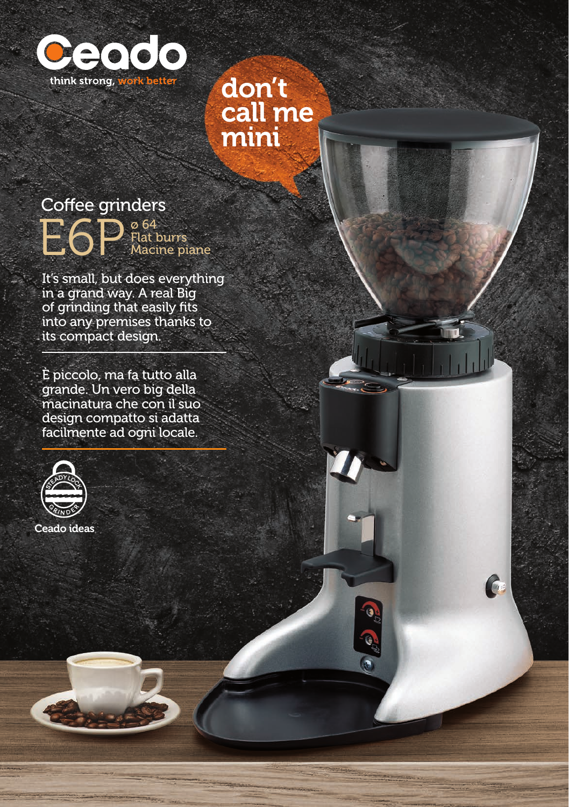

#### don't call me mini

 $\mathcal{C}$ 

C G C

# Coffee grinders

E6P Flat d Flat burrs Macine piane

It's small, but does everything in a grand way. A real Big of grinding that easily fits into any premises thanks to its compact design.

È piccolo, ma fa tutto alla grande. Un vero big della macinatura che con il suo design compatto si adatta facilmente ad ogni locale.



Ceado ideas